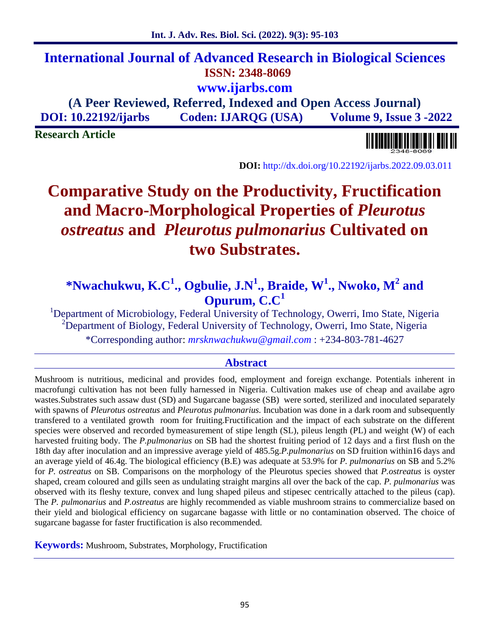# **International Journal of Advanced Research in Biological Sciences ISSN: 2348-8069 www.ijarbs.com**

**(A Peer Reviewed, Referred, Indexed and Open Access Journal) DOI: 10.22192/ijarbs Coden: IJARQG (USA) Volume 9, Issue 3 -2022**

**Research Article**

**DOI:** http://dx.doi.org/10.22192/ijarbs.2022.09.03.011

# **Comparative Study on the Productivity, Fructification and Macro-Morphological Properties of** *Pleurotus ostreatus* **and** *Pleurotus pulmonarius* **Cultivated on two Substrates.**

# **\*Nwachukwu, K.C<sup>1</sup> ., Ogbulie, J.N<sup>1</sup> ., Braide, W<sup>1</sup> ., Nwoko, M<sup>2</sup> and Opurum, C.C<sup>1</sup>**

<sup>1</sup>Department of Microbiology, Federal University of Technology, Owerri, Imo State, Nigeria <sup>2</sup>Department of Biology, Federal University of Technology, Owerri, Imo State, Nigeria \*Corresponding author: *mrsknwachukwu@gmail.com* : +234-803-781-4627

## **Abstract**

Mushroom is nutritious, medicinal and provides food, employment and foreign exchange. Potentials inherent in macrofungi cultivation has not been fully harnessed in Nigeria. Cultivation makes use of cheap and availabe agro wastes. Substrates such assaw dust (SD) and Sugarcane bagasse (SB) were sorted, sterilized and inoculated separately with spawns of *Pleurotus ostreatus* and *Pleurotus pulmonarius.* Incubation was done in a dark room and subsequently transfered to a ventilated growth room for fruiting.Fructification and the impact of each substrate on the different species were observed and recorded bymeasurement of stipe length (SL), pileus length (PL) and weight (W) of each harvested fruiting body. The *P.pulmonarius* on SB had the shortest fruiting period of 12 days and a first flush on the 18th day after inoculation and an impressive average yield of 485.5g.*P.pulmonarius* on SD fruition within16 days and an average yield of 46.4g. The biological efficiency (B.E) was adequate at 53.9% for *P. pulmonarius* on SB and 5.2% for *P. ostreatus* on SB. Comparisons on the morphology of the Pleurotus species showed that *P.ostreatus* is oyster shaped, cream coloured and gills seen as undulating straight margins all over the back of the cap. *P. pulmonarius* was observed with its fleshy texture, convex and lung shaped pileus and stipesec centrically attached to the pileus (cap). The *P. pulmonarius* and *P.ostreatus* are highly recommended as viable mushroom strains to commercialize based on their yield and biological efficiency on sugarcane bagasse with little or no contamination observed. The choice of sugarcane bagasse for faster fructification is also recommended.

**Keywords:** Mushroom, Substrates, Morphology, Fructification

#### 95

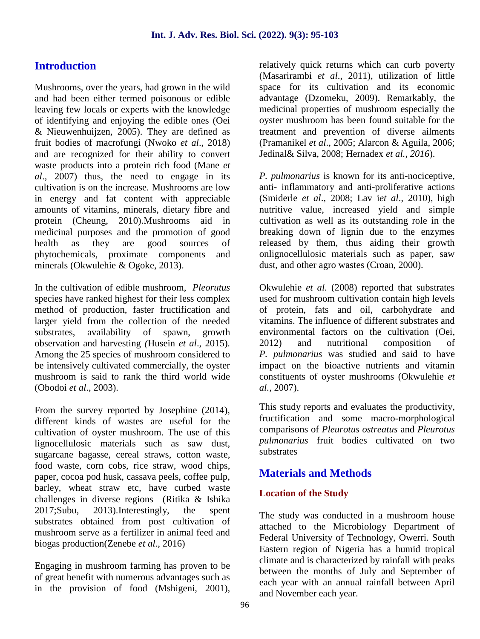# **Introduction**

Mushrooms, over the years, had grown in the wild and had been either termed poisonous or edible leaving few locals or experts with the knowledge of identifying and enjoying the edible ones (Oei & Nieuwenhuijzen, 2005). They are defined as fruit bodies of macrofungi (Nwoko *et al*., 2018) and are recognized for their ability to convert waste products into a protein rich food (Mane *et al*., 2007) thus, the need to engage in its cultivation is on the increase*.* Mushrooms are low in energy and fat content with appreciable amounts of vitamins, minerals, dietary fibre and protein (Cheung, 2010).Mushrooms aid in medicinal purposes and the promotion of good health as they are good sources of phytochemicals, proximate components and minerals (Okwulehie & Ogoke, 2013).

In the cultivation of edible mushroom, *Pleorutus* species have ranked highest for their less complex method of production, faster fructification and larger yield from the collection of the needed substrates, availability of spawn, growth observation and harvesting *(*Husein *et al*., 2015)*.* Among the 25 species of mushroom considered to be intensively cultivated commercially, the oyster mushroom is said to rank the third world wide (Obodoi *et al*., 2003).

From the survey reported by Josephine (2014), different kinds of wastes are useful for the cultivation of oyster mushroom. The use of this lignocellulosic materials such as saw dust, sugarcane bagasse, cereal straws, cotton waste, food waste, corn cobs, rice straw, wood chips, paper, cocoa pod husk, cassava peels, coffee pulp, barley, wheat straw etc, have curbed waste challenges in diverse regions (Ritika & Ishika 2017;Subu, 2013).Interestingly, the spent substrates obtained from post cultivation of mushroom serve as a fertilizer in animal feed and biogas production(Zenebe *et al.,* 2016)

Engaging in mushroom farming has proven to be of great benefit with numerous advantages such as in the provision of food (Mshigeni, 2001), relatively quick returns which can curb poverty (Masarirambi *et al*., 2011), utilization of little space for its cultivation and its economic advantage (Dzomeku, 2009). Remarkably, the medicinal properties of mushroom especially the oyster mushroom has been found suitable for the treatment and prevention of diverse ailments (Pramanikel *et al*., 2005; Alarcon & Aguila, 2006; Jedinal& Silva, 2008; Hernadex *et al., 2016*).

*P. pulmonarius* is known for its anti-nociceptive, anti- inflammatory and anti-proliferative actions (Smiderle *et al*., 2008; Lav i*et al*., 2010), high nutritive value, increased yield and simple cultivation as well as its outstanding role in the breaking down of lignin due to the enzymes released by them, thus aiding their growth onlignocellulosic materials such as paper, saw dust, and other agro wastes (Croan, 2000).

Okwulehie *et al.* (2008) reported that substrates used for mushroom cultivation contain high levels of protein, fats and oil, carbohydrate and vitamins. The influence of different substrates and environmental factors on the cultivation (Oei, 2012) and nutritional composition of *P. pulmonarius* was studied and said to have impact on the bioactive nutrients and vitamin constituents of oyster mushrooms (Okwulehie *et al.,* 2007).

This study reports and evaluates the productivity, fructification and some macro-morphological comparisons of *Pleurotus ostreatus* and *Pleurotus pulmonarius* fruit bodies cultivated on two substrates

# **Materials and Methods**

### **Location of the Study**

The study was conducted in a mushroom house attached to the Microbiology Department of Federal University of Technology, Owerri. South Eastern region of Nigeria has a humid tropical climate and is characterized by rainfall with peaks between the months of July and September of each year with an annual rainfall between April and November each year.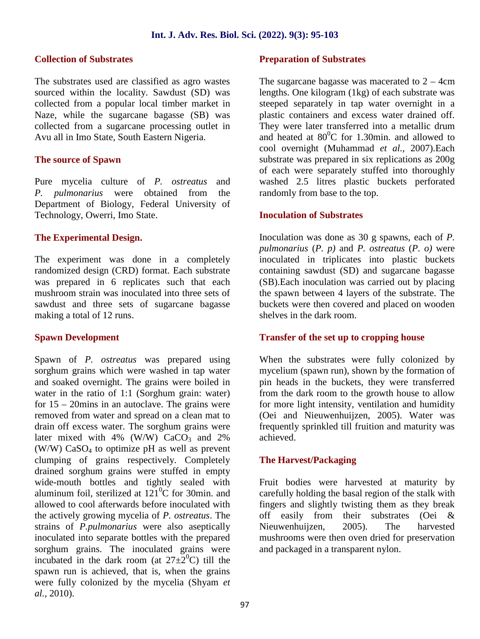#### **Collection of Substrates**

The substrates used are classified as agro wastes sourced within the locality. Sawdust (SD) was collected from a popular local timber market in Naze, while the sugarcane bagasse (SB) was collected from a sugarcane processing outlet in Avu all in Imo State, South Eastern Nigeria.

#### **The source of Spawn**

Pure mycelia culture of *P. ostreatus* and *P. pulmonarius* were obtained from the Department of Biology, Federal University of Technology, Owerri, Imo State.

#### **The Experimental Design.**

The experiment was done in a completely randomized design (CRD) format. Each substrate was prepared in 6 replicates such that each mushroom strain was inoculated into three sets of sawdust and three sets of sugarcane bagasse making a total of 12 runs.

#### **Spawn Development**

Spawn of *P. ostreatus* was prepared using sorghum grains which were washed in tap water and soaked overnight. The grains were boiled in water in the ratio of 1:1 (Sorghum grain: water) for 15 – 20mins in an autoclave. The grains were removed from water and spread on a clean mat to drain off excess water. The sorghum grains were later mixed with 4% (W/W)  $CaCO<sub>3</sub>$  and 2% (W/W)  $CaSO_4$  to optimize pH as well as prevent clumping of grains respectively. Completely drained sorghum grains were stuffed in empty wide-mouth bottles and tightly sealed with aluminum foil, sterilized at  $121\degree$ C for 30min. and allowed to cool afterwards before inoculated with the actively growing mycelia of *P. ostreatus*. The strains of *P.pulmonarius* were also aseptically inoculated into separate bottles with the prepared sorghum grains. The inoculated grains were incubated in the dark room (at  $27\pm2^0C$ ) till the spawn run is achieved, that is, when the grains were fully colonized by the mycelia (Shyam *et al.,* 2010).

#### **Preparation of Substrates**

The sugarcane bagasse was macerated to  $2 - 4$ cm lengths. One kilogram (1kg) of each substrate was steeped separately in tap water overnight in a plastic containers and excess water drained off. They were later transferred into a metallic drum and heated at  $80^{\circ}$ C for 1.30min. and allowed to cool overnight (Muhammad *et al.,* 2007).Each substrate was prepared in six replications as 200g of each were separately stuffed into thoroughly washed 2.5 litres plastic buckets perforated randomly from base to the top.

#### **Inoculation of Substrates**

Inoculation was done as 30 g spawns, each of *P. pulmonarius* (*P. p)* and *P. ostreatus* (*P. o)* were inoculated in triplicates into plastic buckets containing sawdust (SD) and sugarcane bagasse (SB).Each inoculation was carried out by placing the spawn between 4 layers of the substrate. The buckets were then covered and placed on wooden shelves in the dark room.

### **Transfer of the set up to cropping house**

When the substrates were fully colonized by mycelium (spawn run), shown by the formation of pin heads in the buckets, they were transferred from the dark room to the growth house to allow for more light intensity, ventilation and humidity (Oei and Nieuwenhuijzen, 2005). Water was frequently sprinkled till fruition and maturity was achieved.

#### **The Harvest/Packaging**

Fruit bodies were harvested at maturity by carefully holding the basal region of the stalk with fingers and slightly twisting them as they break off easily from their substrates (Oei & Nieuwenhuijzen, 2005). The harvested mushrooms were then oven dried for preservation and packaged in a transparent nylon.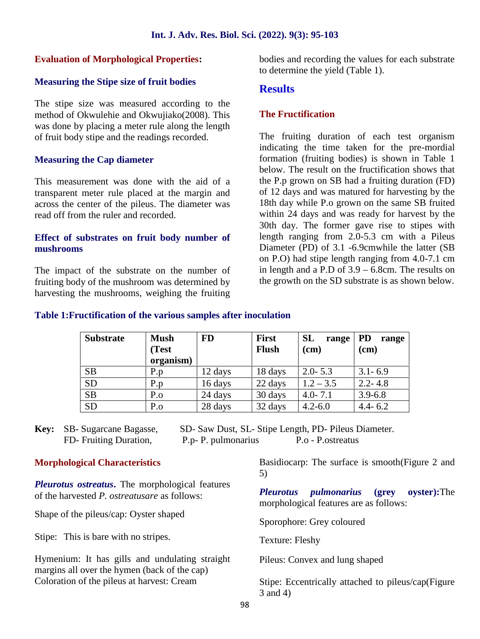#### **Evaluation of Morphological Properties:**

#### **Measuring the Stipe size of fruit bodies**

The stipe size was measured according to the method of Okwulehie and Okwujiako(2008). This was done by placing a meter rule along the length of fruit body stipe and the readings recorded.

#### **Measuring the Cap diameter**

This measurement was done with the aid of a transparent meter rule placed at the margin and across the center of the pileus. The diameter was read off from the ruler and recorded.

#### **Effect of substrates on fruit body number of mushrooms**

The impact of the substrate on the number of fruiting body of the mushroom was determined by harvesting the mushrooms, weighing the fruiting bodies and recording the values for each substrate to determine the yield (Table 1).

#### **Results**

#### **The Fructification**

The fruiting duration of each test organism indicating the time taken for the pre-mordial formation (fruiting bodies) is shown in Table 1 below. The result on the fructification shows that the P.p grown on SB had a fruiting duration (FD) of 12 days and was matured for harvesting by the 18th day while P.o grown on the same SB fruited within 24 days and was ready for harvest by the 30th day. The former gave rise to stipes with length ranging from 2.0-5.3 cm with a Pileus Diameter (PD) of 3.1 -6.9cmwhile the latter (SB on P.O) had stipe length ranging from 4.0-7.1 cm in length and a P.D of 3.9 – 6.8cm. The results on the growth on the SD substrate is as shown below.

#### **Table 1:Fructification of the various samples after inoculation**

| <b>Substrate</b> | <b>Mush</b><br>(Test<br>organism) | <b>FD</b> | <b>First</b><br><b>Flush</b> | <b>SL</b><br>range<br>(cm) | <b>PD</b><br>range<br>(cm) |
|------------------|-----------------------------------|-----------|------------------------------|----------------------------|----------------------------|
| <b>SB</b>        | P.p                               | 12 days   | 18 days                      | $2.0 - 5.3$                | $3.1 - 6.9$                |
| <b>SD</b>        | P.p                               | 16 days   | 22 days                      | $1.2 - 3.5$                | $2.2 - 4.8$                |
| <b>SB</b>        | $P_{.0}$                          | 24 days   | 30 days                      | $4.0 - 7.1$                | $3.9 - 6.8$                |
| <b>SD</b>        | $P_{.0}$                          | 28 days   | 32 days                      | $4.2 - 6.0$                | $4.4 - 6.2$                |

**Key:** SB- Sugarcane Bagasse, SD- Saw Dust, SL- Stipe Length, PD- Pileus Diameter. FD- Fruiting Duration, P.p- P. pulmonarius P.o - P.ostreatus

#### **Morphological Characteristics**

*Pleurotus ostreatus***.** The morphological features of the harvested *P. ostreatusare* as follows:

Shape of the pileus/cap: Oyster shaped

Stipe: This is bare with no stripes.

Hymenium: It has gills and undulating straight margins all over the hymen (back of the cap) Coloration of the pileus at harvest: Cream

Basidiocarp: The surface is smooth(Figure 2 and 5)

*Pleurotus pulmonarius* **(grey oyster):**The morphological features are as follows:

Sporophore: Grey coloured

Texture: Fleshy

Pileus: Convex and lung shaped

Stipe: Eccentrically attached to pileus/cap(Figure 3 and 4)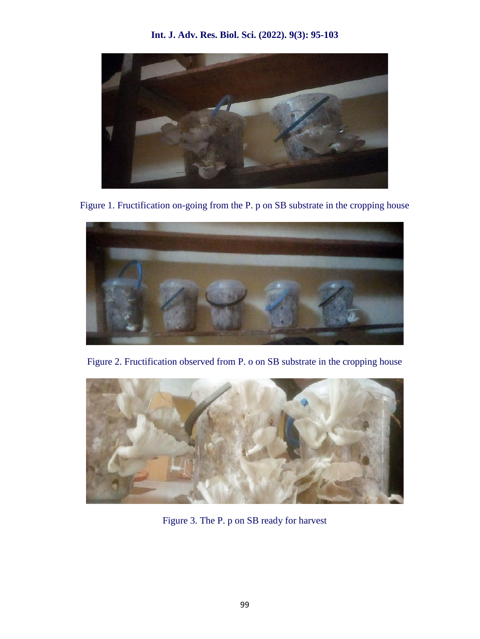**Int. J. Adv. Res. Biol. Sci. (2022). 9(3): 95-103**



Figure 1. Fructification on-going from the P. p on SB substrate in the cropping house



Figure 2. Fructification observed from P. o on SB substrate in the cropping house



Figure 3. The P. p on SB ready for harvest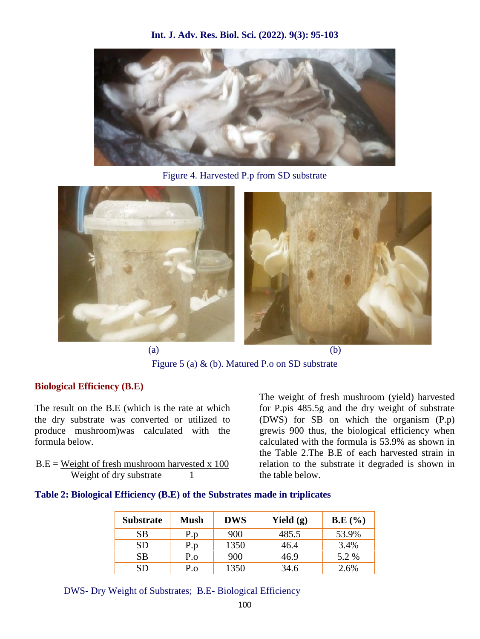**Int. J. Adv. Res. Biol. Sci. (2022). 9(3): 95-103**



Figure 4. Harvested P.p from SD substrate



Figure 5 (a) & (b). Matured P.o on SD substrate

### **Biological Efficiency (B.E)**

The result on the B.E (which is the rate at which the dry substrate was converted or utilized to produce mushroom)was calculated with the formula below.

 $B.E = Weight of fresh must room harvested x 100$ Weight of dry substrate 1

The weight of fresh mushroom (yield) harvested for P.pis 485.5g and the dry weight of substrate (DWS) for SB on which the organism (P.p) grewis 900 thus, the biological efficiency when calculated with the formula is 53.9% as shown in the Table 2.The B.E of each harvested strain in relation to the substrate it degraded is shown in the table below.

#### **Table 2: Biological Efficiency (B.E) of the Substrates made in triplicates**

| <b>Substrate</b> | <b>Mush</b> | <b>DWS</b> | Yield $(g)$ | B.E(%) |
|------------------|-------------|------------|-------------|--------|
| <b>SB</b>        | P.p         | 900        | 485.5       | 53.9%  |
| <b>SD</b>        | P.p         | 1350       | 46.4        | 3.4%   |
| <b>SB</b>        | P.o         | 900        | 46.9        | 5.2 %  |
| <b>SD</b>        | P.o         | 1350       | 34.6        | 2.6%   |

DWS- Dry Weight of Substrates; B.E- Biological Efficiency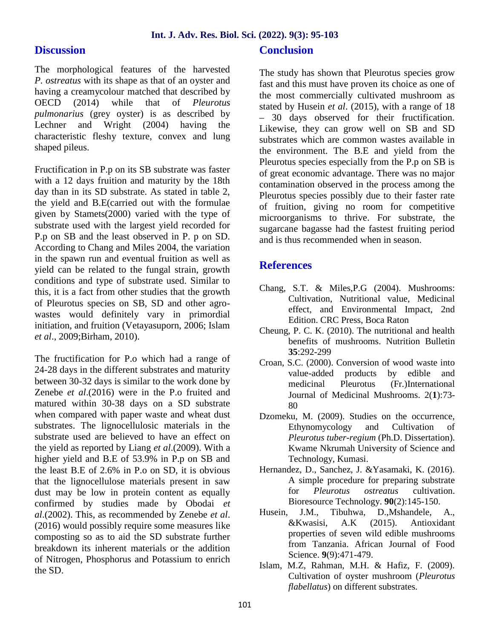## **Discussion**

The morphological features of the harvested *P. ostreatus* with its shape as that of an oyster and having a creamycolour matched that described by OECD (2014) while that of *Pleurotus pulmonarius* (grey oyster) is as described by Lechner and Wright (2004) having the characteristic fleshy texture, convex and lung shaped pileus.

Fructification in P.p on its SB substrate was faster with a 12 days fruition and maturity by the 18th day than in its SD substrate. As stated in table 2, the yield and B.E(carried out with the formulae given by Stamets(2000) varied with the type of substrate used with the largest yield recorded for P.p on SB and the least observed in P. p on SD. According to Chang and Miles 2004, the variation in the spawn run and eventual fruition as well as yield can be related to the fungal strain, growth conditions and type of substrate used. Similar to this, it is a fact from other studies that the growth of Pleurotus species on SB, SD and other agro wastes would definitely vary in primordial initiation, and fruition (Vetayasuporn, 2006; Islam *et al*., 2009;Birham, 2010).

The fructification for P.o which had a range of 24-28 days in the different substrates and maturity between 30-32 days is similar to the work done by Zenebe *et al*.(2016) were in the P.o fruited and matured within 30-38 days on a SD substrate when compared with paper waste and wheat dust substrates. The lignocellulosic materials in the substrate used are believed to have an effect on the yield as reported by Liang *et al*.(2009). With a higher yield and B.E of 53.9% in P.p on SB and the least B.E of 2.6% in P.o on SD, it is obvious that the lignocellulose materials present in saw dust may be low in protein content as equally confirmed by studies made by Obodai *et al*.(2002). This, as recommended by Zenebe *et al*. (2016) would possibly require some measures like composting so as to aid the SD substrate further breakdown its inherent materials or the addition of Nitrogen, Phosphorus and Potassium to enrich the SD.

## **Conclusion**

The study has shown that Pleurotus species grow fast and this must have proven its choice as one of the most commercially cultivated mushroom as stated by Husein *et al*. (2015), with a range of 18 – 30 days observed for their fructification. Likewise, they can grow well on SB and SD substrates which are common wastes available in the environment. The B.E and yield from the Pleurotus species especially from the P.p on SB is of great economic advantage. There was no major contamination observed in the process among the Pleurotus species possibly due to their faster rate of fruition, giving no room for competitive microorganisms to thrive. For substrate, the sugarcane bagasse had the fastest fruiting period and is thus recommended when in season.

# **References**

- Chang, S.T. & Miles,P.G (2004). Mushrooms: Cultivation, Nutritional value, Medicinal effect, and Environmental Impact, 2nd Edition. CRC Press, Boca Raton
- Cheung, P. C. K. (2010). The nutritional and health benefits of mushrooms. Nutrition Bulletin **35**:292-299
- Croan, S.C. (2000). Conversion of wood waste into value-added products by edible and medicinal Pleurotus (Fr.)International Journal of Medicinal Mushrooms. 2(**1**):73- 80
- Dzomeku, M. (2009). Studies on the occurrence, Ethynomycology and Cultivation of *Pleurotus tuber-regium* (Ph.D. Dissertation). Kwame Nkrumah University of Science and Technology, Kumasi.
- Hernandez, D., Sanchez, J. &Yasamaki, K. (2016). A simple procedure for preparing substrate for *Pleurotus ostreatus* cultivation. Bioresource Technology. **90**(2):145-150.
- Husein, J.M., Tibuhwa, D.,Mshandele, A., &Kwasisi, A.K (2015). Antioxidant properties of seven wild edible mushrooms from Tanzania. African Journal of Food Science. **9**(9):471-479.
- Islam, M.Z, Rahman, M.H. & Hafiz, F. (2009). Cultivation of oyster mushroom (*Pleurotus flabellatus*) on different substrates.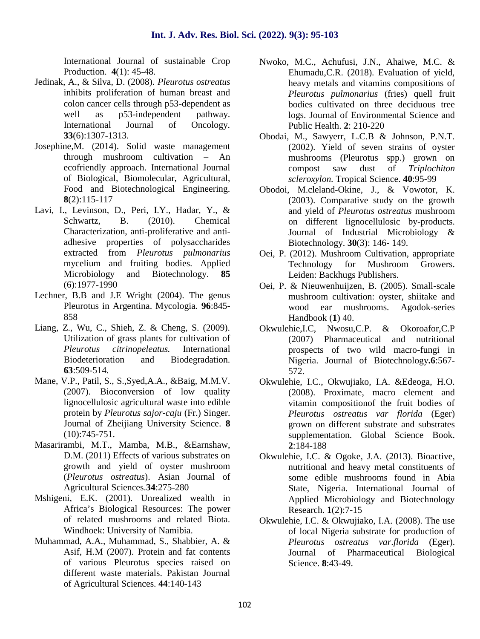International Journal of sustainable Crop Production. **4**(1): 45-48.

- Jedinak, A., & Silva, D. (2008). *Pleurotus ostreatus* inhibits proliferation of human breast and colon cancer cells through p53-dependent as well as p53-independent pathway.<br>International Journal of Oncology. International Journal of Oncology. **33**(6):1307-1313.
- Josephine,M. (2014). Solid waste management through mushroom cultivation – An ecofriendly approach. International Journal of Biological, Biomolecular, Agricultural, Food and Biotechnological Engineering. **8**(2):115-117
- Lavi, I., Levinson, D., Peri, I.Y., Hadar, Y., & Schwartz, B. (2010). Chemical Characterization, anti-proliferative and anti adhesive properties of polysaccharides extracted from *Pleurotus pulmonarius* mycelium and fruiting bodies. Applied Microbiology and Biotechnology. **85** (6):1977-1990
- Lechner, B.B and J.E Wright (2004). The genus Pleurotus in Argentina. Mycologia. **96**:845- 858
- Liang, Z., Wu, C., Shieh, Z. & Cheng, S. (2009). Utilization of grass plants for cultivation of *Pleurotus citrinopeleatus.* International Biodeterioration and Biodegradation. **63**:509-514.
- Mane, V.P., Patil, S., S.,Syed,A.A., &Baig, M.M.V. (2007). Bioconversion of low quality lignocellulosic agricultural waste into edible protein by *Pleurotus sajor-caju* (Fr.) Singer. Journal of Zheijiang University Science. **8** (10):745-751.
- Masarirambi, M.T., Mamba, M.B., &Earnshaw, D.M. (2011) Effects of various substrates on growth and yield of oyster mushroom (*Pleurotus ostreatus*). Asian Journal of Agricultural Sciences.**34**:275-280
- Mshigeni, E.K. (2001). Unrealized wealth in Africa's Biological Resources: The power of related mushrooms and related Biota. Windhoek: University of Namibia.
- Muhammad, A.A., Muhammad, S., Shabbier, A. & Asif, H.M (2007). Protein and fat contents of various Pleurotus species raised on different waste materials. Pakistan Journal of Agricultural Sciences. **44**:140-143
- Nwoko, M.C., Achufusi, J.N., Ahaiwe, M.C. & Ehumadu,C.R. (2018). Evaluation of yield, heavy metals and vitamins compositions of *Pleurotus pulmonarius* (fries) quell fruit bodies cultivated on three deciduous tree logs. Journal of Environmental Science and Public Health. **2**: 210-220
- Obodai, M., Sawyerr, L.C.B & Johnson, P.N.T. (2002). Yield of seven strains of oyster mushrooms (Pleurotus spp.) grown on compost saw dust of *Triplochiton scleroxylon.* Tropical Science. **40**:95-99
- Obodoi, M.cleland-Okine, J., & Vowotor, K. (2003). Comparative study on the growth and yield of *Pleurotus ostreatus* mushroom on different lignocellulosic by-products. Journal of Industrial Microbiology & Biotechnology. **30**(3): 146- 149.
- Oei, P. (2012). Mushroom Cultivation, appropriate Technology for Mushroom Growers. Leiden: Backhugs Publishers.
- Oei, P. & Nieuwenhuijzen, B. (2005). Small-scale mushroom cultivation: oyster, shiitake and wood ear mushrooms. Agodok-series Handbook (**1**) 40.
- Okwulehie,I.C, Nwosu,C.P. & Okoroafor,C.P (2007) Pharmaceutical and nutritional prospects of two wild macro-fungi in Nigeria. Journal of Biotechnology**.6**:567- 572.
- Okwulehie, I.C., Okwujiako, I.A. &Edeoga, H.O. (2008). Proximate, macro element and vitamin compositionof the fruit bodies of *Pleurotus ostreatus var florida* (Eger) grown on different substrate and substrates supplementation. Global Science Book. **2**:184-188
- Okwulehie, I.C. & Ogoke, J.A. (2013). Bioactive, nutritional and heavy metal constituents of some edible mushrooms found in Abia State, Nigeria. International Journal of Applied Microbiology and Biotechnology Research. **1**(2):7-15
- Okwulehie, I.C. & Okwujiako, I.A. (2008). The use of local Nigeria substrate for production of *Pleurotus ostreatus var*.*florida* (Eger). Journal of Pharmaceutical Biological Science. **8**:43-49.